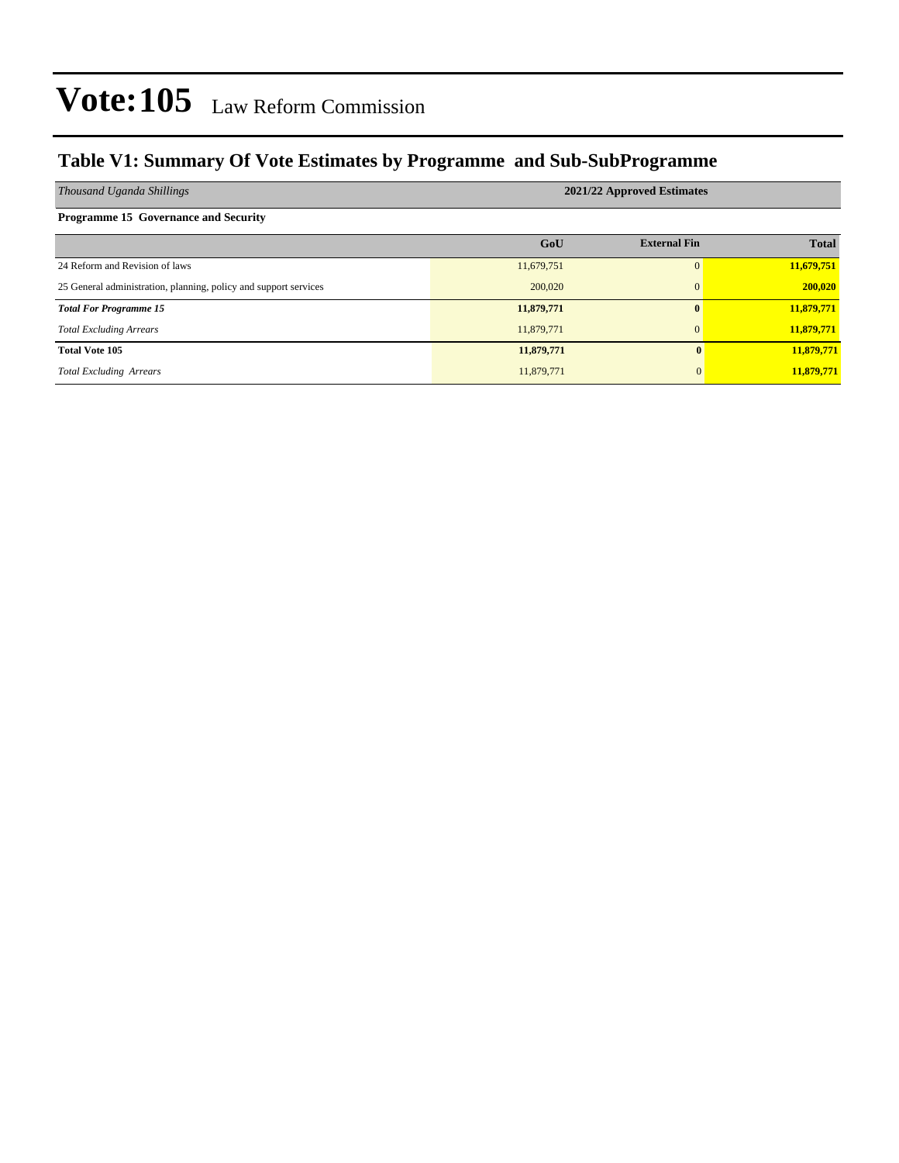### **Table V1: Summary Of Vote Estimates by Programme and Sub-SubProgramme**

| Thousand Uganda Shillings                                        | 2021/22 Approved Estimates |                     |              |  |  |  |  |  |  |  |  |
|------------------------------------------------------------------|----------------------------|---------------------|--------------|--|--|--|--|--|--|--|--|
| <b>Programme 15 Governance and Security</b>                      |                            |                     |              |  |  |  |  |  |  |  |  |
|                                                                  | GoU                        | <b>External Fin</b> | <b>Total</b> |  |  |  |  |  |  |  |  |
| 24 Reform and Revision of laws                                   | 11,679,751                 | $\Omega$            | 11,679,751   |  |  |  |  |  |  |  |  |
| 25 General administration, planning, policy and support services | 200,020                    | $\mathbf{0}$        | 200,020      |  |  |  |  |  |  |  |  |
| <b>Total For Programme 15</b>                                    | 11,879,771                 | $\mathbf{0}$        | 11,879,771   |  |  |  |  |  |  |  |  |
| <b>Total Excluding Arrears</b>                                   | 11,879,771                 | $\mathbf{0}$        | 11,879,771   |  |  |  |  |  |  |  |  |
| <b>Total Vote 105</b>                                            | 11,879,771                 | $\mathbf{0}$        | 11,879,771   |  |  |  |  |  |  |  |  |
| <b>Total Excluding Arrears</b>                                   | 11,879,771                 | $\Omega$            | 11,879,771   |  |  |  |  |  |  |  |  |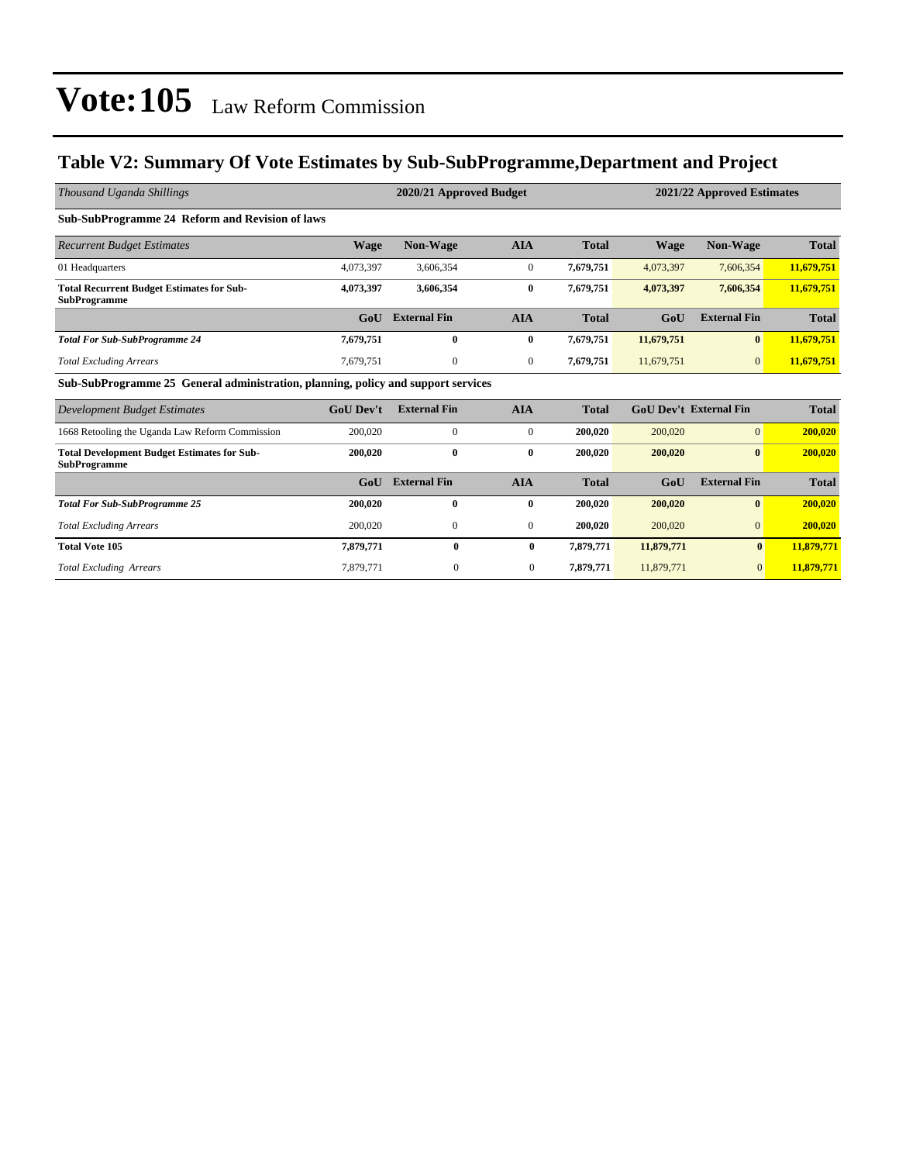### **Table V2: Summary Of Vote Estimates by Sub-SubProgramme,Department and Project**

| Thousand Uganda Shillings                                                         |                  | 2020/21 Approved Budget |                  | 2021/22 Approved Estimates |             |                               |              |
|-----------------------------------------------------------------------------------|------------------|-------------------------|------------------|----------------------------|-------------|-------------------------------|--------------|
| Sub-SubProgramme 24 Reform and Revision of laws                                   |                  |                         |                  |                            |             |                               |              |
| <b>Recurrent Budget Estimates</b>                                                 | <b>Wage</b>      | <b>Non-Wage</b>         | <b>AIA</b>       | <b>Total</b>               | <b>Wage</b> | Non-Wage                      | <b>Total</b> |
| 01 Headquarters                                                                   | 4,073,397        | 3,606,354               | $\mathbf{0}$     | 7,679,751                  | 4,073,397   | 7,606,354                     | 11,679,751   |
| <b>Total Recurrent Budget Estimates for Sub-</b><br><b>SubProgramme</b>           | 4,073,397        | 3,606,354               | $\bf{0}$         | 7,679,751                  | 4,073,397   | 7,606,354                     | 11,679,751   |
|                                                                                   | GoU              | <b>External Fin</b>     | <b>AIA</b>       | <b>Total</b>               | GoU         | <b>External Fin</b>           | <b>Total</b> |
| <b>Total For Sub-SubProgramme 24</b>                                              | 7,679,751        | $\bf{0}$                | $\bf{0}$         | 7,679,751                  | 11,679,751  | $\bf{0}$                      | 11,679,751   |
| <b>Total Excluding Arrears</b>                                                    | 7,679,751        | $\mathbf{0}$            | $\overline{0}$   | 7,679,751                  | 11,679,751  | $\overline{0}$                | 11,679,751   |
| Sub-SubProgramme 25 General administration, planning, policy and support services |                  |                         |                  |                            |             |                               |              |
| Development Budget Estimates                                                      | <b>GoU</b> Dev't | <b>External Fin</b>     | <b>AIA</b>       | <b>Total</b>               |             | <b>GoU Dev't External Fin</b> | <b>Total</b> |
| 1668 Retooling the Uganda Law Reform Commission                                   | 200,020          | $\mathbf{0}$            | $\mathbf{0}$     | 200,020                    | 200,020     | $\vert 0 \vert$               | 200,020      |
| <b>Total Development Budget Estimates for Sub-</b><br><b>SubProgramme</b>         | 200,020          | $\bf{0}$                | $\bf{0}$         | 200,020                    | 200,020     | $\bf{0}$                      | 200,020      |
|                                                                                   | GoU              | <b>External Fin</b>     | <b>AIA</b>       | <b>Total</b>               | GoU         | <b>External Fin</b>           | <b>Total</b> |
| <b>Total For Sub-SubProgramme 25</b>                                              | 200,020          | $\bf{0}$                | $\bf{0}$         | 200,020                    | 200,020     | $\bf{0}$                      | 200,020      |
| <b>Total Excluding Arrears</b>                                                    | 200,020          | 0                       | $\boldsymbol{0}$ | 200,020                    | 200,020     | $\overline{0}$                | 200,020      |
| <b>Total Vote 105</b>                                                             | 7,879,771        | 0                       | 0                | 7,879,771                  | 11,879,771  | $\mathbf{0}$                  | 11,879,771   |
| <b>Total Excluding Arrears</b>                                                    | 7,879,771        | $\mathbf{0}$            | $\mathbf{0}$     | 7,879,771                  | 11,879,771  | $\overline{0}$                | 11,879,771   |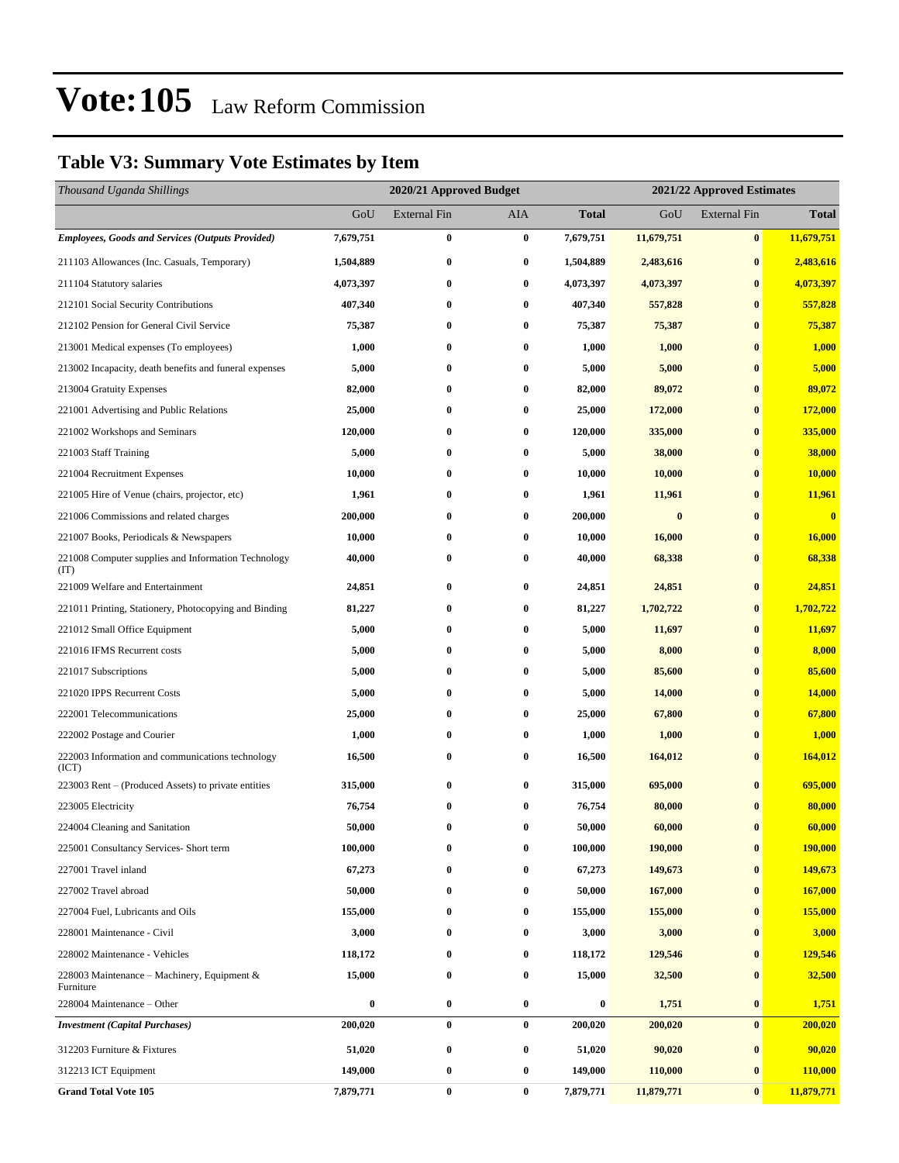### **Table V3: Summary Vote Estimates by Item**

| Thousand Uganda Shillings                                   |           | 2020/21 Approved Budget<br>2021/22 Approved Estimates |          |                  |            |                     |              |
|-------------------------------------------------------------|-----------|-------------------------------------------------------|----------|------------------|------------|---------------------|--------------|
|                                                             | GoU       | <b>External Fin</b>                                   | AIA      | <b>Total</b>     | GoU        | <b>External Fin</b> | <b>Total</b> |
| <b>Employees, Goods and Services (Outputs Provided)</b>     | 7,679,751 | 0                                                     | $\bf{0}$ | 7,679,751        | 11,679,751 | $\bf{0}$            | 11,679,751   |
| 211103 Allowances (Inc. Casuals, Temporary)                 | 1,504,889 | 0                                                     | $\bf{0}$ | 1,504,889        | 2,483,616  | $\bf{0}$            | 2,483,616    |
| 211104 Statutory salaries                                   | 4,073,397 | 0                                                     | $\bf{0}$ | 4,073,397        | 4,073,397  | $\bf{0}$            | 4,073,397    |
| 212101 Social Security Contributions                        | 407,340   | 0                                                     | $\bf{0}$ | 407,340          | 557,828    | $\bf{0}$            | 557,828      |
| 212102 Pension for General Civil Service                    | 75,387    | 0                                                     | $\bf{0}$ | 75,387           | 75,387     | $\bf{0}$            | 75,387       |
| 213001 Medical expenses (To employees)                      | 1,000     | 0                                                     | $\bf{0}$ | 1,000            | 1,000      | $\bf{0}$            | 1,000        |
| 213002 Incapacity, death benefits and funeral expenses      | 5,000     | 0                                                     | $\bf{0}$ | 5,000            | 5,000      | $\bf{0}$            | 5,000        |
| 213004 Gratuity Expenses                                    | 82,000    | 0                                                     | $\bf{0}$ | 82,000           | 89,072     | $\bf{0}$            | 89,072       |
| 221001 Advertising and Public Relations                     | 25,000    | 0                                                     | $\bf{0}$ | 25,000           | 172,000    | $\bf{0}$            | 172,000      |
| 221002 Workshops and Seminars                               | 120,000   | 0                                                     | $\bf{0}$ | 120,000          | 335,000    | $\bf{0}$            | 335,000      |
| 221003 Staff Training                                       | 5,000     | 0                                                     | $\bf{0}$ | 5,000            | 38,000     | $\bf{0}$            | 38,000       |
| 221004 Recruitment Expenses                                 | 10,000    | 0                                                     | $\bf{0}$ | 10,000           | 10,000     | $\bf{0}$            | 10,000       |
| 221005 Hire of Venue (chairs, projector, etc)               | 1,961     | 0                                                     | $\bf{0}$ | 1,961            | 11,961     | $\bf{0}$            | 11,961       |
| 221006 Commissions and related charges                      | 200,000   | 0                                                     | $\bf{0}$ | 200,000          | $\bf{0}$   | $\bf{0}$            | $\bf{0}$     |
| 221007 Books, Periodicals & Newspapers                      | 10,000    | 0                                                     | $\bf{0}$ | 10,000           | 16,000     | $\bf{0}$            | 16,000       |
| 221008 Computer supplies and Information Technology<br>(TT) | 40,000    | 0                                                     | $\bf{0}$ | 40,000           | 68,338     | $\bf{0}$            | 68,338       |
| 221009 Welfare and Entertainment                            | 24,851    | 0                                                     | $\bf{0}$ | 24,851           | 24,851     | $\bf{0}$            | 24,851       |
| 221011 Printing, Stationery, Photocopying and Binding       | 81,227    | 0                                                     | $\bf{0}$ | 81,227           | 1,702,722  | $\bf{0}$            | 1,702,722    |
| 221012 Small Office Equipment                               | 5,000     | 0                                                     | $\bf{0}$ | 5,000            | 11,697     | $\bf{0}$            | 11,697       |
| 221016 IFMS Recurrent costs                                 | 5,000     | 0                                                     | $\bf{0}$ | 5,000            | 8,000      | $\bf{0}$            | 8,000        |
| 221017 Subscriptions                                        | 5,000     | 0                                                     | $\bf{0}$ | 5,000            | 85,600     | $\bf{0}$            | 85,600       |
| 221020 IPPS Recurrent Costs                                 | 5,000     | 0                                                     | $\bf{0}$ | 5,000            | 14,000     | $\bf{0}$            | 14,000       |
| 222001 Telecommunications                                   | 25,000    | 0                                                     | $\bf{0}$ | 25,000           | 67,800     | $\bf{0}$            | 67,800       |
| 222002 Postage and Courier                                  | 1,000     | 0                                                     | $\bf{0}$ | 1,000            | 1,000      | $\bf{0}$            | 1,000        |
| 222003 Information and communications technology<br>(ICT)   | 16,500    | 0                                                     | $\bf{0}$ | 16,500           | 164,012    | $\bf{0}$            | 164,012      |
| 223003 Rent – (Produced Assets) to private entities         | 315,000   | 0                                                     | $\bf{0}$ | 315,000          | 695,000    | $\bf{0}$            | 695,000      |
| 223005 Electricity                                          | 76,754    | 0                                                     | $\bf{0}$ | 76,754           | 80,000     | $\bf{0}$            | 80,000       |
| 224004 Cleaning and Sanitation                              | 50,000    | 0                                                     | $\bf{0}$ | 50,000           | 60,000     | $\bf{0}$            | 60,000       |
| 225001 Consultancy Services- Short term                     | 100,000   | 0                                                     | $\bf{0}$ | 100,000          | 190,000    | $\bf{0}$            | 190,000      |
| 227001 Travel inland                                        | 67,273    | 0                                                     | $\bf{0}$ | 67,273           | 149,673    | $\bf{0}$            | 149,673      |
| 227002 Travel abroad                                        | 50,000    | 0                                                     | $\bf{0}$ | 50,000           | 167,000    | $\bf{0}$            | 167,000      |
| 227004 Fuel, Lubricants and Oils                            | 155,000   | 0                                                     | $\bf{0}$ | 155,000          | 155,000    | $\bf{0}$            | 155,000      |
| 228001 Maintenance - Civil                                  | 3,000     | 0                                                     | $\bf{0}$ | 3,000            | 3,000      | $\bf{0}$            | 3,000        |
| 228002 Maintenance - Vehicles                               | 118,172   | 0                                                     | $\bf{0}$ | 118,172          | 129,546    | $\bf{0}$            | 129,546      |
| 228003 Maintenance - Machinery, Equipment &<br>Furniture    | 15,000    | 0                                                     | $\bf{0}$ | 15,000           | 32,500     | $\bf{0}$            | 32,500       |
| 228004 Maintenance – Other                                  | $\bf{0}$  | $\bf{0}$                                              | $\bf{0}$ | $\boldsymbol{0}$ | 1,751      | $\bf{0}$            | 1,751        |
| <b>Investment</b> (Capital Purchases)                       | 200,020   | 0                                                     | $\bf{0}$ | 200,020          | 200,020    | $\bf{0}$            | 200,020      |
| 312203 Furniture & Fixtures                                 | 51,020    | 0                                                     | $\bf{0}$ | 51,020           | 90,020     | $\bf{0}$            | 90,020       |
| 312213 ICT Equipment                                        | 149,000   | 0                                                     | $\bf{0}$ | 149,000          | 110,000    | $\bf{0}$            | 110,000      |
| <b>Grand Total Vote 105</b>                                 | 7,879,771 | $\bf{0}$                                              | $\bf{0}$ | 7,879,771        | 11,879,771 | $\bf{0}$            | 11,879,771   |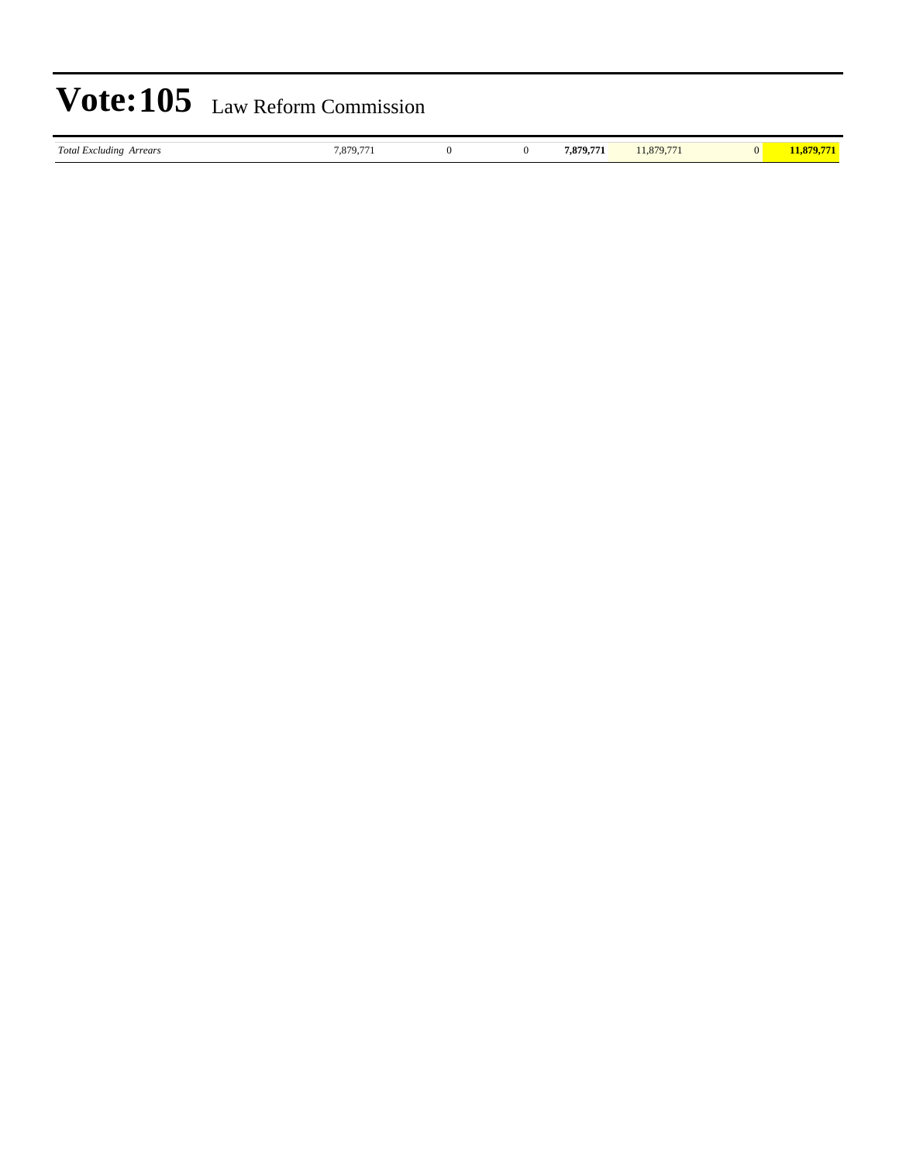| <b>Total Excluding Arrears</b><br>. | 1,879,77 |  |  | 7.879.771 | 1.879.77 |  | ,,,, |
|-------------------------------------|----------|--|--|-----------|----------|--|------|
|-------------------------------------|----------|--|--|-----------|----------|--|------|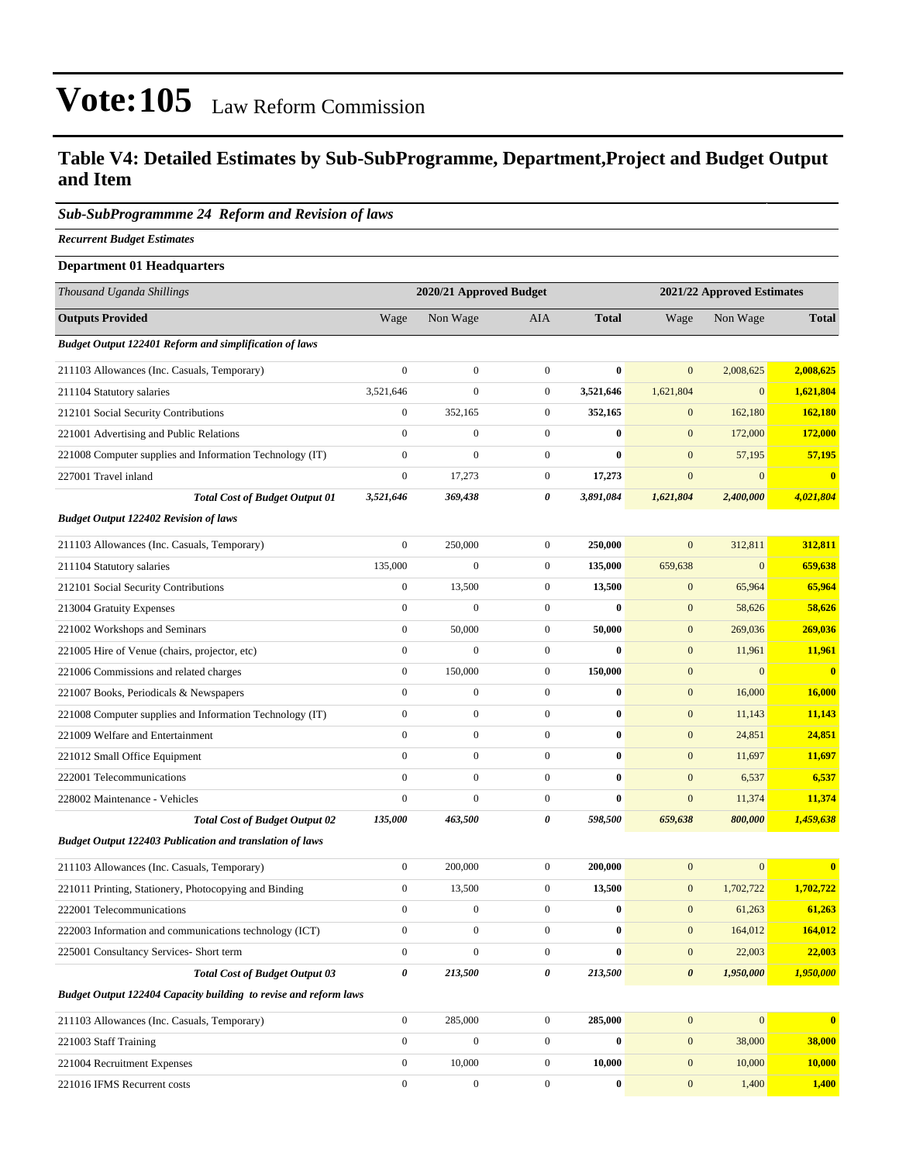### **Table V4: Detailed Estimates by Sub-SubProgramme, Department,Project and Budget Output and Item**

#### *Sub-SubProgrammme 24 Reform and Revision of laws*

*Recurrent Budget Estimates*

| <b>Department 01 Headquarters</b>                                |                  |                         |                  |                            |                       |              |                         |
|------------------------------------------------------------------|------------------|-------------------------|------------------|----------------------------|-----------------------|--------------|-------------------------|
| Thousand Uganda Shillings                                        |                  | 2020/21 Approved Budget |                  | 2021/22 Approved Estimates |                       |              |                         |
| <b>Outputs Provided</b>                                          | Wage             | Non Wage                | <b>AIA</b>       | <b>Total</b>               | Wage                  | Non Wage     | <b>Total</b>            |
| <b>Budget Output 122401 Reform and simplification of laws</b>    |                  |                         |                  |                            |                       |              |                         |
| 211103 Allowances (Inc. Casuals, Temporary)                      | $\boldsymbol{0}$ | $\boldsymbol{0}$        | $\mathbf{0}$     | $\bf{0}$                   | $\overline{0}$        | 2,008,625    | 2,008,625               |
| 211104 Statutory salaries                                        | 3,521,646        | $\mathbf{0}$            | $\mathbf{0}$     | 3,521,646                  | 1,621,804             | $\mathbf{0}$ | 1,621,804               |
| 212101 Social Security Contributions                             | $\boldsymbol{0}$ | 352,165                 | $\boldsymbol{0}$ | 352,165                    | $\mathbf{0}$          | 162,180      | 162,180                 |
| 221001 Advertising and Public Relations                          | $\boldsymbol{0}$ | $\boldsymbol{0}$        | $\mathbf{0}$     | $\bf{0}$                   | $\boldsymbol{0}$      | 172,000      | 172,000                 |
| 221008 Computer supplies and Information Technology (IT)         | $\boldsymbol{0}$ | $\boldsymbol{0}$        | $\boldsymbol{0}$ | $\bf{0}$                   | $\mathbf{0}$          | 57,195       | 57,195                  |
| 227001 Travel inland                                             | $\boldsymbol{0}$ | 17,273                  | $\mathbf{0}$     | 17,273                     | $\mathbf{0}$          | $\mathbf{0}$ | $\bf{0}$                |
| <b>Total Cost of Budget Output 01</b>                            | 3,521,646        | 369,438                 | 0                | 3,891,084                  | 1,621,804             | 2,400,000    | 4,021,804               |
| <b>Budget Output 122402 Revision of laws</b>                     |                  |                         |                  |                            |                       |              |                         |
| 211103 Allowances (Inc. Casuals, Temporary)                      | $\boldsymbol{0}$ | 250,000                 | $\boldsymbol{0}$ | 250,000                    | $\mathbf{0}$          | 312,811      | 312,811                 |
| 211104 Statutory salaries                                        | 135,000          | $\boldsymbol{0}$        | $\mathbf{0}$     | 135,000                    | 659,638               | $\mathbf{0}$ | 659,638                 |
| 212101 Social Security Contributions                             | $\boldsymbol{0}$ | 13,500                  | $\mathbf{0}$     | 13,500                     | $\mathbf{0}$          | 65,964       | 65,964                  |
| 213004 Gratuity Expenses                                         | $\boldsymbol{0}$ | $\boldsymbol{0}$        | $\mathbf{0}$     | $\bf{0}$                   | $\mathbf{0}$          | 58,626       | 58,626                  |
| 221002 Workshops and Seminars                                    | $\boldsymbol{0}$ | 50,000                  | $\boldsymbol{0}$ | 50,000                     | $\boldsymbol{0}$      | 269,036      | 269,036                 |
| 221005 Hire of Venue (chairs, projector, etc)                    | $\boldsymbol{0}$ | $\boldsymbol{0}$        | $\mathbf{0}$     | $\bf{0}$                   | $\boldsymbol{0}$      | 11,961       | 11,961                  |
| 221006 Commissions and related charges                           | $\boldsymbol{0}$ | 150,000                 | $\mathbf{0}$     | 150,000                    | $\boldsymbol{0}$      | $\mathbf{0}$ | $\mathbf{0}$            |
| 221007 Books, Periodicals & Newspapers                           | $\boldsymbol{0}$ | $\boldsymbol{0}$        | $\mathbf{0}$     | $\bf{0}$                   | $\boldsymbol{0}$      | 16,000       | 16,000                  |
| 221008 Computer supplies and Information Technology (IT)         | $\boldsymbol{0}$ | $\boldsymbol{0}$        | $\mathbf{0}$     | $\bf{0}$                   | $\mathbf{0}$          | 11,143       | 11,143                  |
| 221009 Welfare and Entertainment                                 | $\boldsymbol{0}$ | $\boldsymbol{0}$        | $\mathbf{0}$     | $\bf{0}$                   | $\boldsymbol{0}$      | 24,851       | 24,851                  |
| 221012 Small Office Equipment                                    | $\boldsymbol{0}$ | $\boldsymbol{0}$        | $\mathbf{0}$     | $\bf{0}$                   | $\boldsymbol{0}$      | 11,697       | 11,697                  |
| 222001 Telecommunications                                        | $\boldsymbol{0}$ | $\boldsymbol{0}$        | $\mathbf{0}$     | $\bf{0}$                   | $\boldsymbol{0}$      | 6,537        | 6,537                   |
| 228002 Maintenance - Vehicles                                    | $\boldsymbol{0}$ | $\mathbf{0}$            | $\mathbf{0}$     | $\bf{0}$                   | $\mathbf{0}$          | 11,374       | 11,374                  |
| <b>Total Cost of Budget Output 02</b>                            | 135,000          | 463,500                 | 0                | 598,500                    | 659,638               | 800,000      | 1,459,638               |
| <b>Budget Output 122403 Publication and translation of laws</b>  |                  |                         |                  |                            |                       |              |                         |
| 211103 Allowances (Inc. Casuals, Temporary)                      | $\boldsymbol{0}$ | 200,000                 | $\mathbf{0}$     | 200,000                    | $\boldsymbol{0}$      | $\mathbf{0}$ | $\overline{\mathbf{0}}$ |
| 221011 Printing, Stationery, Photocopying and Binding            | $\boldsymbol{0}$ | 13,500                  | $\mathbf{0}$     | 13,500                     | $\mathbf{0}$          | 1,702,722    | 1,702,722               |
| 222001 Telecommunications                                        | $\boldsymbol{0}$ | $\boldsymbol{0}$        | $\mathbf{0}$     | $\bf{0}$                   | $\mathbf{0}$          | 61,263       | 61,263                  |
| 222003 Information and communications technology (ICT)           | $\boldsymbol{0}$ | $\boldsymbol{0}$        | $\mathbf{0}$     | $\bf{0}$                   | $\mathbf{0}$          | 164,012      | 164,012                 |
| 225001 Consultancy Services- Short term                          | $\boldsymbol{0}$ | $\boldsymbol{0}$        | $\mathbf{0}$     | $\bf{0}$                   | $\boldsymbol{0}$      | 22,003       | 22,003                  |
| <b>Total Cost of Budget Output 03</b>                            | 0                | 213,500                 | 0                | 213,500                    | $\boldsymbol{\theta}$ | 1,950,000    | 1,950,000               |
| Budget Output 122404 Capacity building to revise and reform laws |                  |                         |                  |                            |                       |              |                         |
| 211103 Allowances (Inc. Casuals, Temporary)                      | $\boldsymbol{0}$ | 285,000                 | $\mathbf{0}$     | 285,000                    | $\mathbf{0}$          | $\mathbf{0}$ | $\bf{0}$                |
| 221003 Staff Training                                            | $\boldsymbol{0}$ | $\boldsymbol{0}$        | $\mathbf{0}$     | $\bf{0}$                   | $\boldsymbol{0}$      | 38,000       | 38,000                  |
| 221004 Recruitment Expenses                                      | $\boldsymbol{0}$ | 10,000                  | $\boldsymbol{0}$ | 10,000                     | $\boldsymbol{0}$      | 10,000       | 10,000                  |
| 221016 IFMS Recurrent costs                                      | $\overline{0}$   | $\boldsymbol{0}$        | $\boldsymbol{0}$ | $\bf{0}$                   | $\mathbf{0}$          | 1,400        | 1,400                   |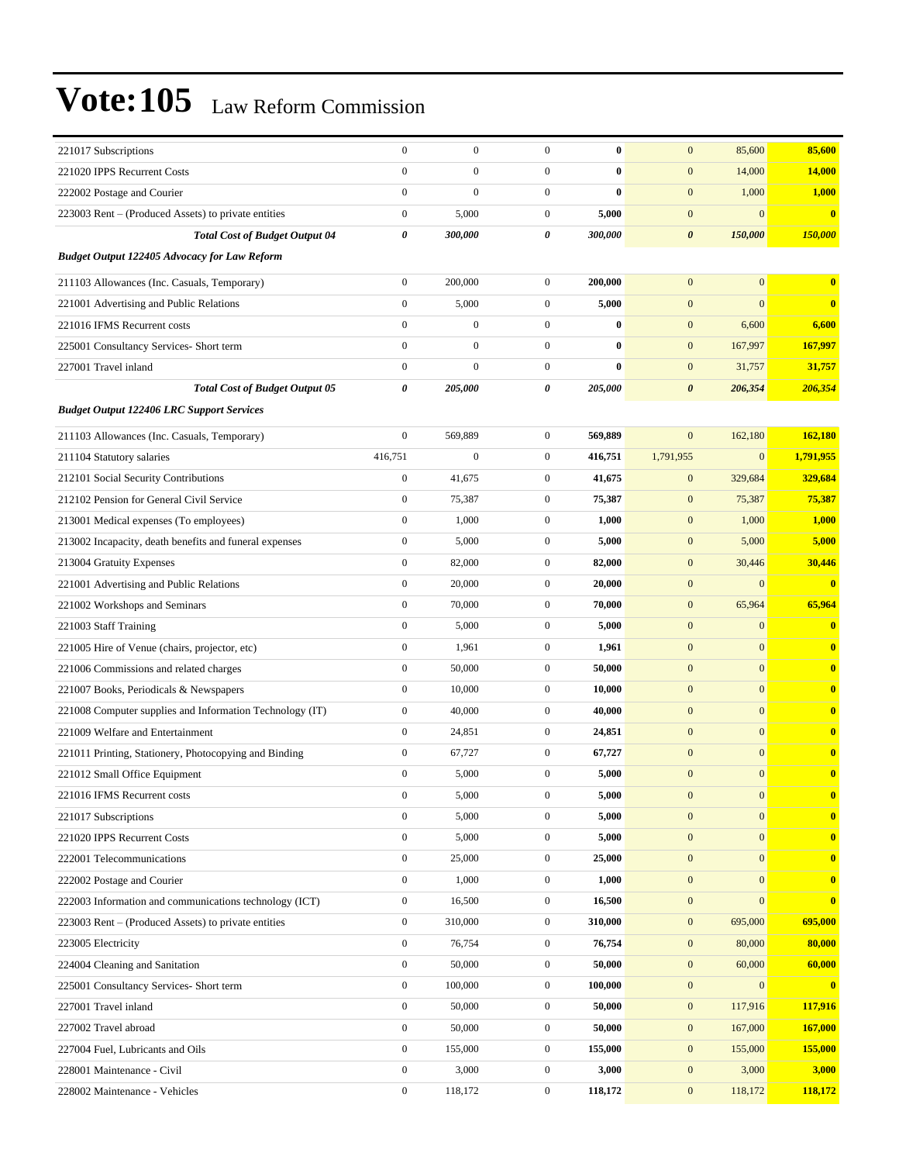| 221017 Subscriptions                                     | $\boldsymbol{0}$      | $\boldsymbol{0}$ | $\mathbf{0}$     | $\bf{0}$ | $\mathbf{0}$          | 85,600           | 85,600       |
|----------------------------------------------------------|-----------------------|------------------|------------------|----------|-----------------------|------------------|--------------|
| 221020 IPPS Recurrent Costs                              | $\mathbf{0}$          | $\boldsymbol{0}$ | $\boldsymbol{0}$ | $\bf{0}$ | $\boldsymbol{0}$      | 14,000           | 14,000       |
| 222002 Postage and Courier                               | $\boldsymbol{0}$      | $\mathbf{0}$     | $\boldsymbol{0}$ | $\bf{0}$ | $\mathbf{0}$          | 1,000            | 1,000        |
| 223003 Rent – (Produced Assets) to private entities      | $\boldsymbol{0}$      | 5,000            | $\boldsymbol{0}$ | 5,000    | $\boldsymbol{0}$      | $\boldsymbol{0}$ | $\bf{0}$     |
| <b>Total Cost of Budget Output 04</b>                    | $\boldsymbol{\theta}$ | 300,000          | 0                | 300,000  | $\boldsymbol{\theta}$ | 150,000          | 150,000      |
| <b>Budget Output 122405 Advocacy for Law Reform</b>      |                       |                  |                  |          |                       |                  |              |
| 211103 Allowances (Inc. Casuals, Temporary)              | $\boldsymbol{0}$      | 200,000          | $\boldsymbol{0}$ | 200,000  | $\mathbf{0}$          | $\mathbf{0}$     | $\bf{0}$     |
| 221001 Advertising and Public Relations                  | $\boldsymbol{0}$      | 5,000            | $\boldsymbol{0}$ | 5,000    | $\boldsymbol{0}$      | $\mathbf{0}$     | $\bf{0}$     |
| 221016 IFMS Recurrent costs                              | $\boldsymbol{0}$      | $\mathbf{0}$     | $\boldsymbol{0}$ | $\bf{0}$ | $\mathbf{0}$          | 6,600            | 6,600        |
| 225001 Consultancy Services- Short term                  | $\boldsymbol{0}$      | $\boldsymbol{0}$ | $\boldsymbol{0}$ | $\bf{0}$ | $\mathbf{0}$          | 167,997          | 167,997      |
| 227001 Travel inland                                     | $\boldsymbol{0}$      | $\boldsymbol{0}$ | $\boldsymbol{0}$ | $\bf{0}$ | $\boldsymbol{0}$      | 31,757           | 31,757       |
| <b>Total Cost of Budget Output 05</b>                    | $\boldsymbol{\theta}$ | 205,000          | 0                | 205,000  | $\boldsymbol{\theta}$ | 206,354          | 206,354      |
| <b>Budget Output 122406 LRC Support Services</b>         |                       |                  |                  |          |                       |                  |              |
| 211103 Allowances (Inc. Casuals, Temporary)              | $\boldsymbol{0}$      | 569,889          | $\boldsymbol{0}$ | 569,889  | $\mathbf{0}$          | 162,180          | 162,180      |
| 211104 Statutory salaries                                | 416,751               | $\boldsymbol{0}$ | $\boldsymbol{0}$ | 416,751  | 1,791,955             | $\boldsymbol{0}$ | 1,791,955    |
| 212101 Social Security Contributions                     | $\boldsymbol{0}$      | 41,675           | $\boldsymbol{0}$ | 41,675   | $\mathbf{0}$          | 329,684          | 329,684      |
| 212102 Pension for General Civil Service                 | $\boldsymbol{0}$      | 75,387           | $\boldsymbol{0}$ | 75,387   | $\boldsymbol{0}$      | 75,387           | 75,387       |
| 213001 Medical expenses (To employees)                   | $\boldsymbol{0}$      | 1,000            | $\boldsymbol{0}$ | 1,000    | $\mathbf{0}$          | 1,000            | 1,000        |
| 213002 Incapacity, death benefits and funeral expenses   | $\boldsymbol{0}$      | 5,000            | $\boldsymbol{0}$ | 5,000    | $\mathbf{0}$          | 5,000            | 5,000        |
| 213004 Gratuity Expenses                                 | $\boldsymbol{0}$      | 82,000           | $\boldsymbol{0}$ | 82,000   | $\mathbf{0}$          | 30,446           | 30,446       |
| 221001 Advertising and Public Relations                  | $\boldsymbol{0}$      | 20,000           | $\boldsymbol{0}$ | 20,000   | $\boldsymbol{0}$      | $\boldsymbol{0}$ | $\bf{0}$     |
| 221002 Workshops and Seminars                            | $\boldsymbol{0}$      | 70,000           | $\boldsymbol{0}$ | 70,000   | $\boldsymbol{0}$      | 65,964           | 65,964       |
| 221003 Staff Training                                    | $\boldsymbol{0}$      | 5,000            | $\boldsymbol{0}$ | 5,000    | $\mathbf{0}$          | $\mathbf{0}$     | $\bf{0}$     |
| 221005 Hire of Venue (chairs, projector, etc)            | $\boldsymbol{0}$      | 1,961            | $\boldsymbol{0}$ | 1,961    | $\mathbf{0}$          | $\mathbf{0}$     | $\bf{0}$     |
| 221006 Commissions and related charges                   | $\boldsymbol{0}$      | 50,000           | $\boldsymbol{0}$ | 50,000   | $\mathbf{0}$          | $\mathbf{0}$     | $\bf{0}$     |
| 221007 Books, Periodicals & Newspapers                   | $\boldsymbol{0}$      | 10,000           | $\boldsymbol{0}$ | 10,000   | $\boldsymbol{0}$      | $\mathbf{0}$     | $\bf{0}$     |
| 221008 Computer supplies and Information Technology (IT) | $\boldsymbol{0}$      | 40,000           | $\boldsymbol{0}$ | 40,000   | $\mathbf{0}$          | $\overline{0}$   | $\bf{0}$     |
| 221009 Welfare and Entertainment                         | $\boldsymbol{0}$      | 24,851           | $\boldsymbol{0}$ | 24,851   | $\mathbf{0}$          | $\mathbf{0}$     | $\bf{0}$     |
| 221011 Printing, Stationery, Photocopying and Binding    | $\boldsymbol{0}$      | 67,727           | $\boldsymbol{0}$ | 67,727   | $\mathbf{0}$          | $\mathbf{0}$     | $\bf{0}$     |
| 221012 Small Office Equipment                            | $\boldsymbol{0}$      | 5,000            | $\boldsymbol{0}$ | 5,000    | $\mathbf{0}$          | $\boldsymbol{0}$ | $\bf{0}$     |
| 221016 IFMS Recurrent costs                              | $\boldsymbol{0}$      | 5,000            | $\overline{0}$   | 5,000    | $\boldsymbol{0}$      | $\boldsymbol{0}$ |              |
| 221017 Subscriptions                                     | $\boldsymbol{0}$      | 5,000            | $\boldsymbol{0}$ | 5,000    | $\boldsymbol{0}$      | $\overline{0}$   | $\bf{0}$     |
| 221020 IPPS Recurrent Costs                              | $\boldsymbol{0}$      | 5,000            | $\boldsymbol{0}$ | 5,000    | $\boldsymbol{0}$      | $\overline{0}$   | $\bf{0}$     |
| 222001 Telecommunications                                | $\boldsymbol{0}$      | 25,000           | $\boldsymbol{0}$ | 25,000   | $\mathbf{0}$          | $\overline{0}$   | $\mathbf{0}$ |
| 222002 Postage and Courier                               | $\boldsymbol{0}$      | 1,000            | $\boldsymbol{0}$ | 1,000    | $\mathbf{0}$          | $\mathbf{0}$     | $\bf{0}$     |
| 222003 Information and communications technology (ICT)   | $\boldsymbol{0}$      | 16,500           | $\boldsymbol{0}$ | 16,500   | $\mathbf{0}$          | $\mathbf{0}$     | $\bf{0}$     |
| 223003 Rent – (Produced Assets) to private entities      | $\boldsymbol{0}$      | 310,000          | $\boldsymbol{0}$ | 310,000  | $\mathbf{0}$          | 695,000          | 695,000      |
| 223005 Electricity                                       | $\boldsymbol{0}$      | 76,754           | $\boldsymbol{0}$ | 76,754   | $\mathbf{0}$          | 80,000           | 80,000       |
| 224004 Cleaning and Sanitation                           | $\boldsymbol{0}$      | 50,000           | $\boldsymbol{0}$ | 50,000   | $\mathbf{0}$          | 60,000           | 60,000       |
| 225001 Consultancy Services- Short term                  | $\boldsymbol{0}$      | 100,000          | $\boldsymbol{0}$ | 100,000  | $\mathbf{0}$          | $\mathbf{0}$     | $\bf{0}$     |
| 227001 Travel inland                                     | $\boldsymbol{0}$      | 50,000           | $\boldsymbol{0}$ | 50,000   | $\boldsymbol{0}$      | 117,916          | 117,916      |
| 227002 Travel abroad                                     | $\boldsymbol{0}$      | 50,000           | $\boldsymbol{0}$ | 50,000   | $\mathbf{0}$          | 167,000          | 167,000      |
| 227004 Fuel, Lubricants and Oils                         | $\boldsymbol{0}$      | 155,000          | $\boldsymbol{0}$ | 155,000  | $\mathbf{0}$          | 155,000          | 155,000      |
| 228001 Maintenance - Civil                               | $\boldsymbol{0}$      | 3,000            | $\boldsymbol{0}$ | 3,000    | $\mathbf{0}$          | 3,000            | 3,000        |
| 228002 Maintenance - Vehicles                            | $\boldsymbol{0}$      | 118,172          | $\overline{0}$   | 118,172  | $\mathbf{0}$          | 118,172          | 118,172      |